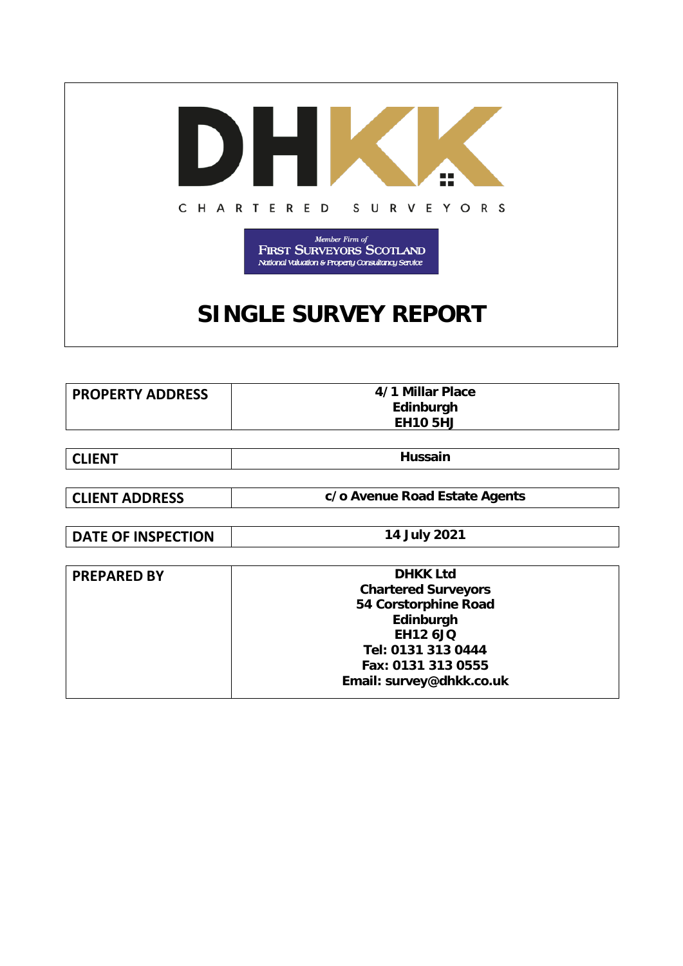

| <b>PROPERTY ADDRESS</b> | 4/1 Millar Place |
|-------------------------|------------------|
|                         | Edinburgh        |
|                         | <b>EH10 5HJ</b>  |

| <b>CLIENT</b> | <b>Hussain</b> |
|---------------|----------------|
|---------------|----------------|

**CLIENT ADDRESS c/o Avenue Road Estate Agents**

**DATE OF INSPECTION** 14 July 2021

| <b>PREPARED BY</b> | <b>DHKK Ltd</b>            |  |
|--------------------|----------------------------|--|
|                    | <b>Chartered Surveyors</b> |  |
|                    | 54 Corstorphine Road       |  |
|                    | Edinburgh                  |  |
|                    | <b>EH12 6JQ</b>            |  |
|                    | Tel: 0131 313 0444         |  |
|                    | Fax: 0131 313 0555         |  |
|                    | Email: survey@dhkk.co.uk   |  |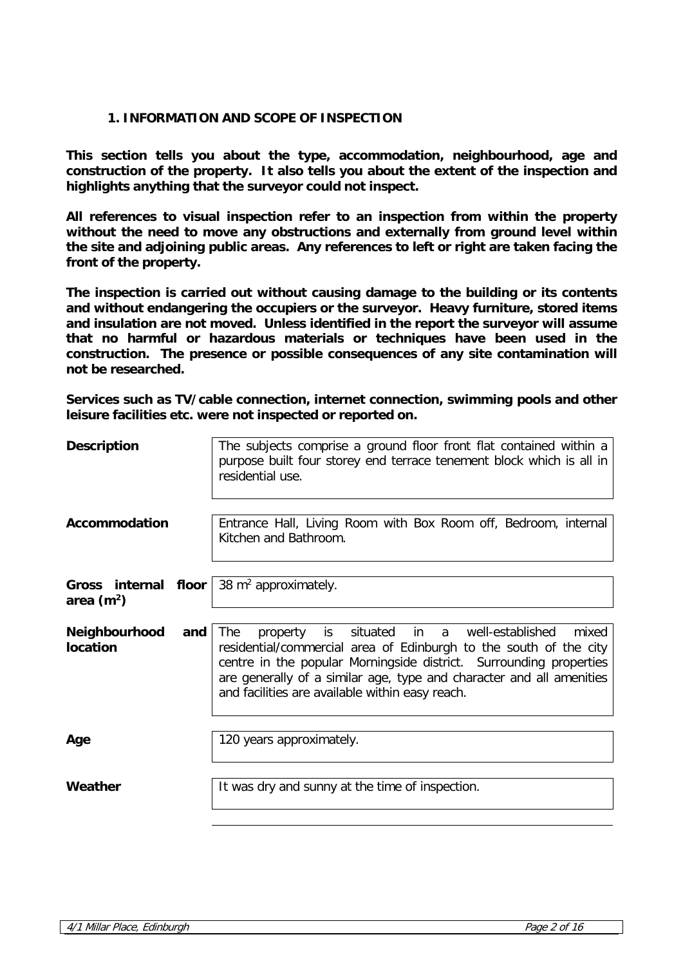### **1. INFORMATION AND SCOPE OF INSPECTION**

**This section tells you about the type, accommodation, neighbourhood, age and construction of the property. It also tells you about the extent of the inspection and highlights anything that the surveyor could not inspect.** 

**All references to visual inspection refer to an inspection from within the property without the need to move any obstructions and externally from ground level within the site and adjoining public areas. Any references to left or right are taken facing the front of the property.**

**The inspection is carried out without causing damage to the building or its contents and without endangering the occupiers or the surveyor. Heavy furniture, stored items and insulation are not moved. Unless identified in the report the surveyor will assume that no harmful or hazardous materials or techniques have been used in the construction. The presence or possible consequences of any site contamination will not be researched.**

**Services such as TV/cable connection, internet connection, swimming pools and other leisure facilities etc. were not inspected or reported on.**

| <b>Description</b>                   |     | The subjects comprise a ground floor front flat contained within a<br>purpose built four storey end terrace tenement block which is all in<br>residential use.                                                                                                                                                                             |
|--------------------------------------|-----|--------------------------------------------------------------------------------------------------------------------------------------------------------------------------------------------------------------------------------------------------------------------------------------------------------------------------------------------|
| Accommodation                        |     | Entrance Hall, Living Room with Box Room off, Bedroom, internal<br>Kitchen and Bathroom.                                                                                                                                                                                                                                                   |
| Gross internal floor<br>area $(m^2)$ |     | 38 $m^2$ approximately.                                                                                                                                                                                                                                                                                                                    |
| <b>Neighbourhood</b><br>location     | and | is situated in a well-established<br>mixed<br><b>The</b><br>property<br>residential/commercial area of Edinburgh to the south of the city<br>centre in the popular Morningside district. Surrounding properties<br>are generally of a similar age, type and character and all amenities<br>and facilities are available within easy reach. |
| Age                                  |     | 120 years approximately.                                                                                                                                                                                                                                                                                                                   |
| Weather                              |     | It was dry and sunny at the time of inspection.                                                                                                                                                                                                                                                                                            |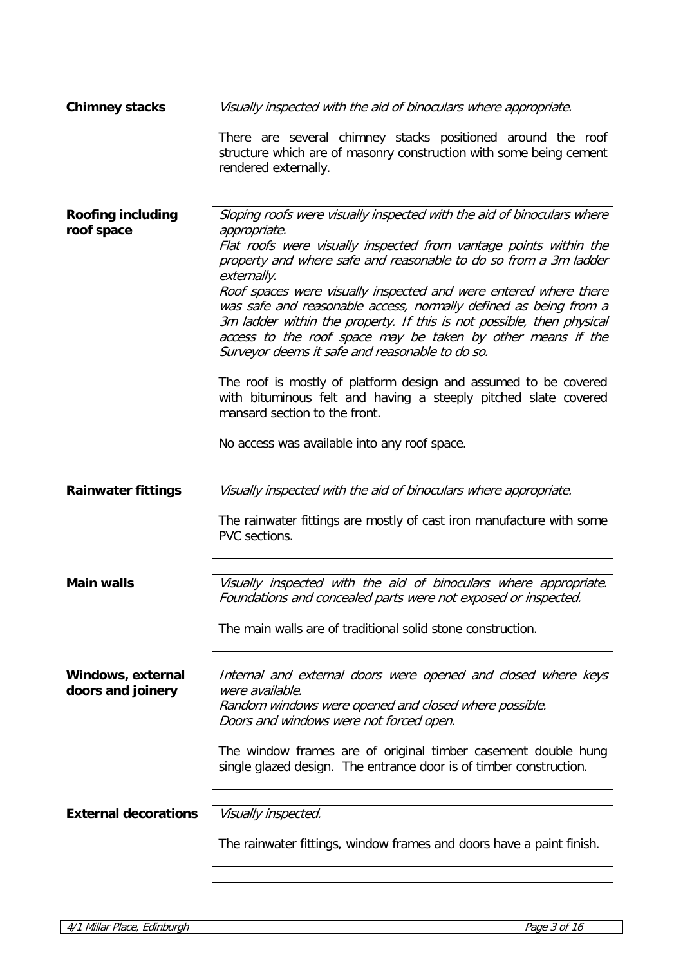| <b>Chimney stacks</b>                  | Visually inspected with the aid of binoculars where appropriate.                                                                                                                                                                                                                                                                |
|----------------------------------------|---------------------------------------------------------------------------------------------------------------------------------------------------------------------------------------------------------------------------------------------------------------------------------------------------------------------------------|
|                                        | There are several chimney stacks positioned around the roof<br>structure which are of masonry construction with some being cement<br>rendered externally.                                                                                                                                                                       |
|                                        |                                                                                                                                                                                                                                                                                                                                 |
| <b>Roofing including</b><br>roof space | Sloping roofs were visually inspected with the aid of binoculars where<br>appropriate.                                                                                                                                                                                                                                          |
|                                        | Flat roofs were visually inspected from vantage points within the<br>property and where safe and reasonable to do so from a 3m ladder<br>externally.                                                                                                                                                                            |
|                                        | Roof spaces were visually inspected and were entered where there<br>was safe and reasonable access, normally defined as being from a<br>3m ladder within the property. If this is not possible, then physical<br>access to the roof space may be taken by other means if the<br>Surveyor deems it safe and reasonable to do so. |
|                                        | The roof is mostly of platform design and assumed to be covered<br>with bituminous felt and having a steeply pitched slate covered<br>mansard section to the front.                                                                                                                                                             |
|                                        | No access was available into any roof space.                                                                                                                                                                                                                                                                                    |
| <b>Rainwater fittings</b>              | Visually inspected with the aid of binoculars where appropriate.                                                                                                                                                                                                                                                                |
|                                        | The rainwater fittings are mostly of cast iron manufacture with some<br>PVC sections.                                                                                                                                                                                                                                           |
|                                        |                                                                                                                                                                                                                                                                                                                                 |
| <b>Main walls</b>                      | Visually inspected with the aid of binoculars where appropriate.<br>Foundations and concealed parts were not exposed or inspected.                                                                                                                                                                                              |
|                                        | The main walls are of traditional solid stone construction.                                                                                                                                                                                                                                                                     |
| Windows, external                      | Internal and external doors were opened and closed where keys                                                                                                                                                                                                                                                                   |
| doors and joinery                      | were available.<br>Random windows were opened and closed where possible.<br>Doors and windows were not forced open.                                                                                                                                                                                                             |
|                                        | The window frames are of original timber casement double hung<br>single glazed design. The entrance door is of timber construction.                                                                                                                                                                                             |
|                                        |                                                                                                                                                                                                                                                                                                                                 |
| <b>External decorations</b>            | Visually inspected.                                                                                                                                                                                                                                                                                                             |
|                                        | The rainwater fittings, window frames and doors have a paint finish.                                                                                                                                                                                                                                                            |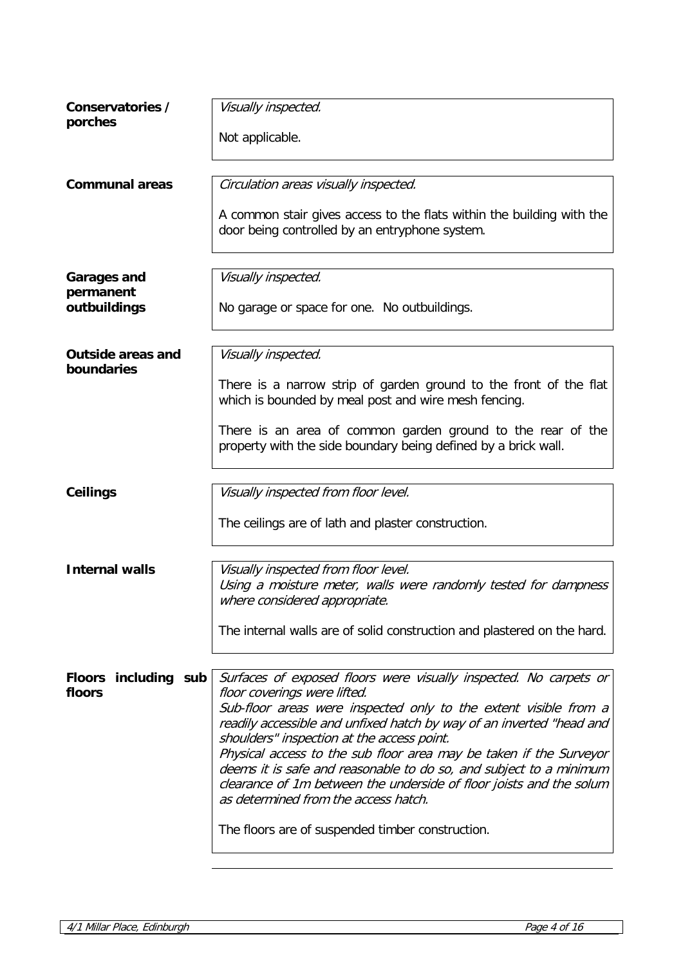| Conservatories /<br>porches              | Visually inspected.                                                                                                                                                                                                                                     |
|------------------------------------------|---------------------------------------------------------------------------------------------------------------------------------------------------------------------------------------------------------------------------------------------------------|
|                                          | Not applicable.                                                                                                                                                                                                                                         |
|                                          |                                                                                                                                                                                                                                                         |
| <b>Communal areas</b>                    | Circulation areas visually inspected.                                                                                                                                                                                                                   |
|                                          | A common stair gives access to the flats within the building with the<br>door being controlled by an entryphone system.                                                                                                                                 |
| <b>Garages and</b>                       | Visually inspected.                                                                                                                                                                                                                                     |
| permanent<br>outbuildings                | No garage or space for one. No outbuildings.                                                                                                                                                                                                            |
|                                          |                                                                                                                                                                                                                                                         |
| <b>Outside areas and</b><br>boundaries   | Visually inspected.                                                                                                                                                                                                                                     |
|                                          | There is a narrow strip of garden ground to the front of the flat<br>which is bounded by meal post and wire mesh fencing.                                                                                                                               |
|                                          | There is an area of common garden ground to the rear of the<br>property with the side boundary being defined by a brick wall.                                                                                                                           |
|                                          |                                                                                                                                                                                                                                                         |
| <b>Ceilings</b>                          | Visually inspected from floor level.                                                                                                                                                                                                                    |
|                                          | The ceilings are of lath and plaster construction.                                                                                                                                                                                                      |
|                                          |                                                                                                                                                                                                                                                         |
| <b>Internal walls</b>                    | Visually inspected from floor level.<br>Using a moisture meter, walls were randomly tested for dampness<br>where considered appropriate.                                                                                                                |
|                                          | The internal walls are of solid construction and plastered on the hard.                                                                                                                                                                                 |
|                                          |                                                                                                                                                                                                                                                         |
| <b>Floors</b><br>including sub<br>floors | Surfaces of exposed floors were visually inspected. No carpets or<br>floor coverings were lifted.<br>Sub-floor areas were inspected only to the extent visible from a<br>readily accessible and unfixed hatch by way of an inverted "head and           |
|                                          | shoulders" inspection at the access point.                                                                                                                                                                                                              |
|                                          | Physical access to the sub floor area may be taken if the Surveyor<br>deems it is safe and reasonable to do so, and subject to a minimum<br>clearance of 1m between the underside of floor joists and the solum<br>as determined from the access hatch. |
|                                          | The floors are of suspended timber construction.                                                                                                                                                                                                        |
|                                          |                                                                                                                                                                                                                                                         |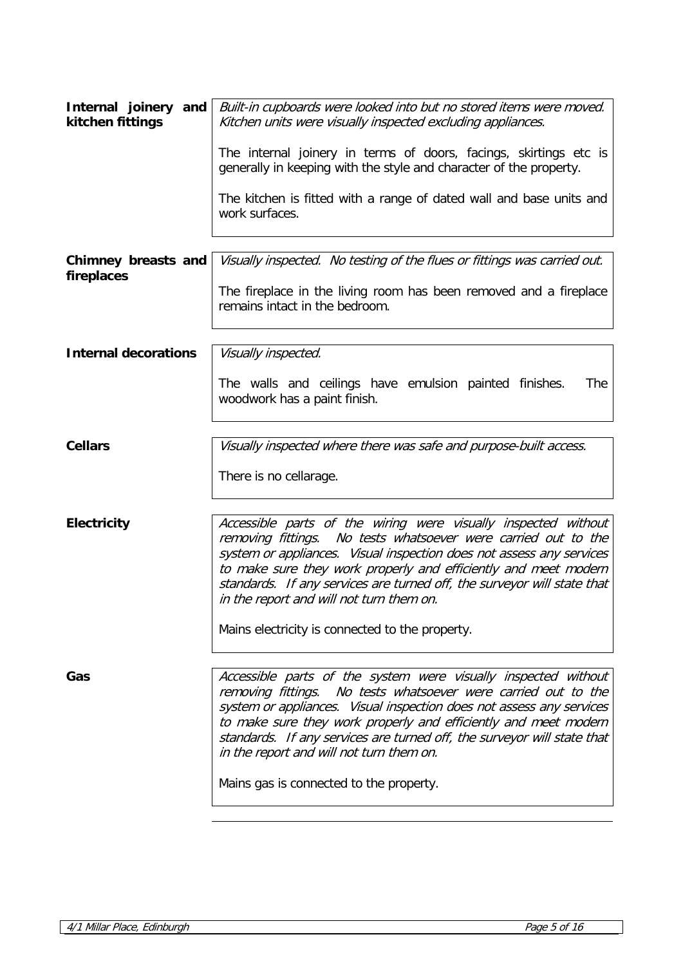| Internal joinery and<br>kitchen fittings | Built-in cupboards were looked into but no stored items were moved.<br>Kitchen units were visually inspected excluding appliances.                                                                                                                                                                                                                                                                                                                    |
|------------------------------------------|-------------------------------------------------------------------------------------------------------------------------------------------------------------------------------------------------------------------------------------------------------------------------------------------------------------------------------------------------------------------------------------------------------------------------------------------------------|
|                                          | The internal joinery in terms of doors, facings, skirtings etc is<br>generally in keeping with the style and character of the property.                                                                                                                                                                                                                                                                                                               |
|                                          | The kitchen is fitted with a range of dated wall and base units and<br>work surfaces.                                                                                                                                                                                                                                                                                                                                                                 |
| Chimney breasts and                      | Visually inspected. No testing of the flues or fittings was carried out.                                                                                                                                                                                                                                                                                                                                                                              |
| fireplaces                               | The fireplace in the living room has been removed and a fireplace<br>remains intact in the bedroom.                                                                                                                                                                                                                                                                                                                                                   |
| <b>Internal decorations</b>              | Visually inspected.                                                                                                                                                                                                                                                                                                                                                                                                                                   |
|                                          | The walls and ceilings have emulsion painted finishes.<br>The<br>woodwork has a paint finish.                                                                                                                                                                                                                                                                                                                                                         |
| <b>Cellars</b>                           | Visually inspected where there was safe and purpose-built access.                                                                                                                                                                                                                                                                                                                                                                                     |
|                                          | There is no cellarage.                                                                                                                                                                                                                                                                                                                                                                                                                                |
| <b>Electricity</b>                       | Accessible parts of the wiring were visually inspected without<br>removing fittings. No tests whatsoever were carried out to the<br>system or appliances. Visual inspection does not assess any services<br>to make sure they work properly and efficiently and meet modern<br>standards. If any services are turned off, the surveyor will state that<br>in the report and will not turn them on.<br>Mains electricity is connected to the property. |
|                                          |                                                                                                                                                                                                                                                                                                                                                                                                                                                       |
| Gas                                      | Accessible parts of the system were visually inspected without<br>removing fittings. No tests whatsoever were carried out to the<br>system or appliances. Visual inspection does not assess any services<br>to make sure they work properly and efficiently and meet modern<br>standards. If any services are turned off, the surveyor will state that<br>in the report and will not turn them on.<br>Mains gas is connected to the property.         |
|                                          |                                                                                                                                                                                                                                                                                                                                                                                                                                                       |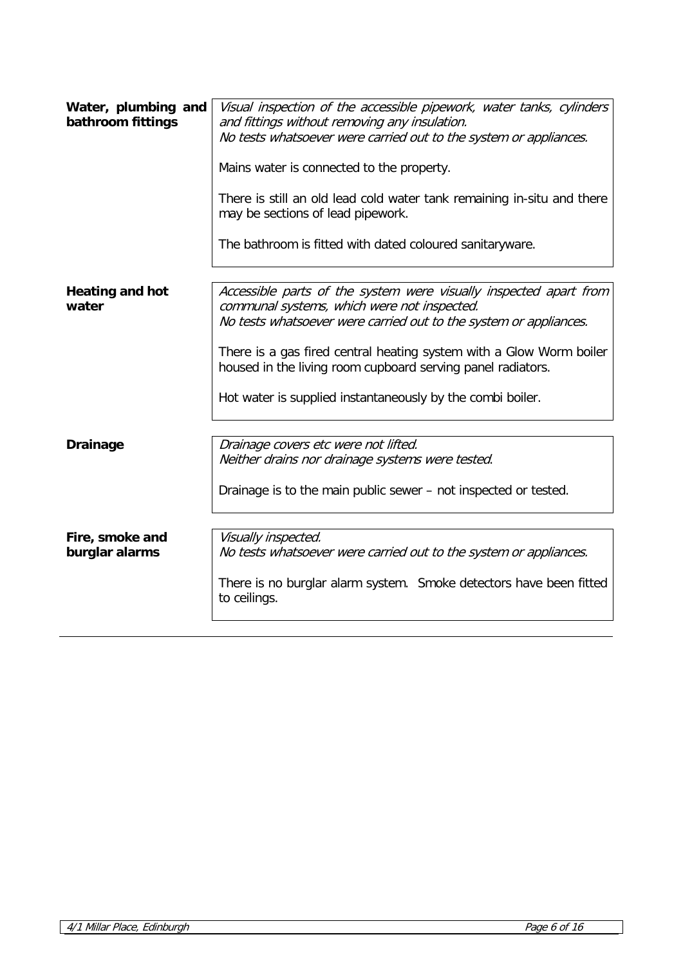| Water, plumbing and<br>bathroom fittings | Visual inspection of the accessible pipework, water tanks, cylinders<br>and fittings without removing any insulation.<br>No tests whatsoever were carried out to the system or appliances.<br>Mains water is connected to the property.<br>There is still an old lead cold water tank remaining in-situ and there<br>may be sections of lead pipework.<br>The bathroom is fitted with dated coloured sanitaryware. |
|------------------------------------------|--------------------------------------------------------------------------------------------------------------------------------------------------------------------------------------------------------------------------------------------------------------------------------------------------------------------------------------------------------------------------------------------------------------------|
| <b>Heating and hot</b><br>water          | Accessible parts of the system were visually inspected apart from<br>communal systems, which were not inspected.<br>No tests whatsoever were carried out to the system or appliances.<br>There is a gas fired central heating system with a Glow Worm boiler<br>housed in the living room cupboard serving panel radiators.<br>Hot water is supplied instantaneously by the combi boiler.                          |
| <b>Drainage</b>                          | Drainage covers etc were not lifted.<br>Neither drains nor drainage systems were tested.<br>Drainage is to the main public sewer - not inspected or tested.                                                                                                                                                                                                                                                        |
| Fire, smoke and<br>burglar alarms        | Visually inspected.<br>No tests whatsoever were carried out to the system or appliances.<br>There is no burglar alarm system. Smoke detectors have been fitted<br>to ceilings.                                                                                                                                                                                                                                     |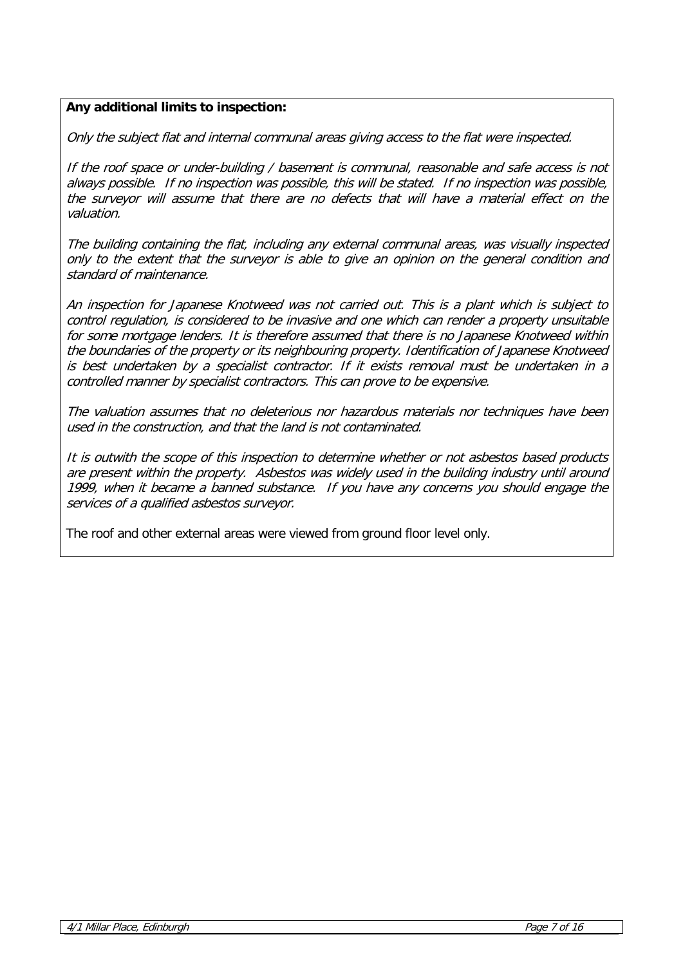# **Any additional limits to inspection:**

Only the subject flat and internal communal areas giving access to the flat were inspected.

If the roof space or under-building / basement is communal, reasonable and safe access is not always possible. If no inspection was possible, this will be stated. If no inspection was possible, the surveyor will assume that there are no defects that will have a material effect on the valuation.

The building containing the flat, including any external communal areas, was visually inspected only to the extent that the surveyor is able to give an opinion on the general condition and standard of maintenance.

An inspection for Japanese Knotweed was not carried out. This is a plant which is subject to control regulation, is considered to be invasive and one which can render a property unsuitable for some mortgage lenders. It is therefore assumed that there is no Japanese Knotweed within the boundaries of the property or its neighbouring property. Identification of Japanese Knotweed is best undertaken by a specialist contractor. If it exists removal must be undertaken in a controlled manner by specialist contractors. This can prove to be expensive.

The valuation assumes that no deleterious nor hazardous materials nor techniques have been used in the construction, and that the land is not contaminated.

It is outwith the scope of this inspection to determine whether or not asbestos based products are present within the property. Asbestos was widely used in the building industry until around 1999, when it became a banned substance. If you have any concerns you should engage the services of a qualified asbestos surveyor.

The roof and other external areas were viewed from ground floor level only.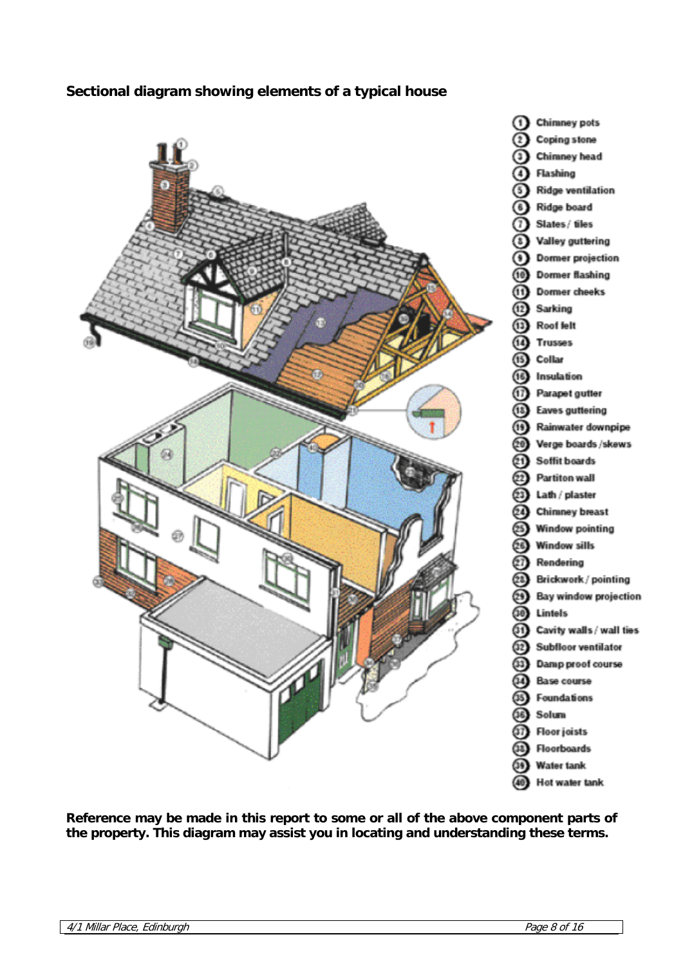# **Sectional diagram showing elements of a typical house**



**Reference may be made in this report to some or all of the above component parts of the property. This diagram may assist you in locating and understanding these terms.**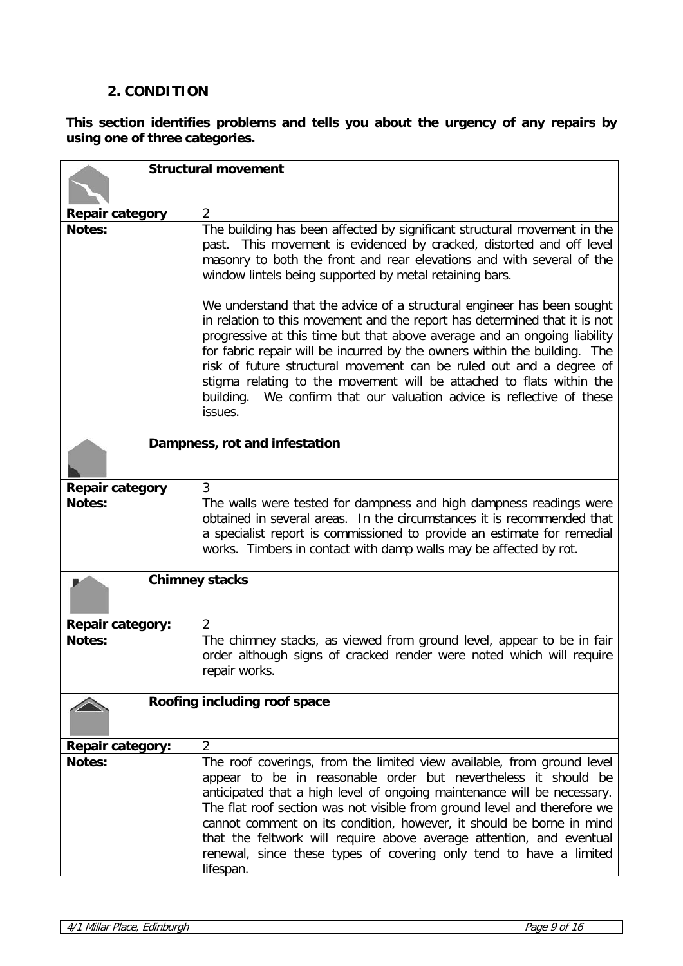## **2. CONDITION**

**This section identifies problems and tells you about the urgency of any repairs by using one of three categories.**

| <b>Structural movement</b> |                                                                                                                                                                                                                                                                                                                                                                                                                                                                                                                                                                                                                                                                                                                                                                                                                                            |
|----------------------------|--------------------------------------------------------------------------------------------------------------------------------------------------------------------------------------------------------------------------------------------------------------------------------------------------------------------------------------------------------------------------------------------------------------------------------------------------------------------------------------------------------------------------------------------------------------------------------------------------------------------------------------------------------------------------------------------------------------------------------------------------------------------------------------------------------------------------------------------|
|                            |                                                                                                                                                                                                                                                                                                                                                                                                                                                                                                                                                                                                                                                                                                                                                                                                                                            |
| <b>Repair category</b>     | $\overline{2}$                                                                                                                                                                                                                                                                                                                                                                                                                                                                                                                                                                                                                                                                                                                                                                                                                             |
| <b>Notes:</b>              | The building has been affected by significant structural movement in the<br>past. This movement is evidenced by cracked, distorted and off level<br>masonry to both the front and rear elevations and with several of the<br>window lintels being supported by metal retaining bars.<br>We understand that the advice of a structural engineer has been sought<br>in relation to this movement and the report has determined that it is not<br>progressive at this time but that above average and an ongoing liability<br>for fabric repair will be incurred by the owners within the building. The<br>risk of future structural movement can be ruled out and a degree of<br>stigma relating to the movement will be attached to flats within the<br>We confirm that our valuation advice is reflective of these<br>building.<br>issues. |
|                            | Dampness, rot and infestation                                                                                                                                                                                                                                                                                                                                                                                                                                                                                                                                                                                                                                                                                                                                                                                                              |
| <b>Repair category</b>     | 3                                                                                                                                                                                                                                                                                                                                                                                                                                                                                                                                                                                                                                                                                                                                                                                                                                          |
| <b>Notes:</b>              | The walls were tested for dampness and high dampness readings were<br>obtained in several areas. In the circumstances it is recommended that<br>a specialist report is commissioned to provide an estimate for remedial<br>works. Timbers in contact with damp walls may be affected by rot.                                                                                                                                                                                                                                                                                                                                                                                                                                                                                                                                               |
|                            | <b>Chimney stacks</b>                                                                                                                                                                                                                                                                                                                                                                                                                                                                                                                                                                                                                                                                                                                                                                                                                      |
| <b>Repair category:</b>    | $\overline{2}$                                                                                                                                                                                                                                                                                                                                                                                                                                                                                                                                                                                                                                                                                                                                                                                                                             |
| <b>Notes:</b>              | The chimney stacks, as viewed from ground level, appear to be in fair<br>order although signs of cracked render were noted which will require<br>repair works.                                                                                                                                                                                                                                                                                                                                                                                                                                                                                                                                                                                                                                                                             |
|                            | Roofing including roof space                                                                                                                                                                                                                                                                                                                                                                                                                                                                                                                                                                                                                                                                                                                                                                                                               |
| <b>Repair category:</b>    | $\overline{2}$                                                                                                                                                                                                                                                                                                                                                                                                                                                                                                                                                                                                                                                                                                                                                                                                                             |
| Notes:                     | The roof coverings, from the limited view available, from ground level<br>appear to be in reasonable order but nevertheless it should be<br>anticipated that a high level of ongoing maintenance will be necessary.<br>The flat roof section was not visible from ground level and therefore we<br>cannot comment on its condition, however, it should be borne in mind<br>that the feltwork will require above average attention, and eventual<br>renewal, since these types of covering only tend to have a limited<br>lifespan.                                                                                                                                                                                                                                                                                                         |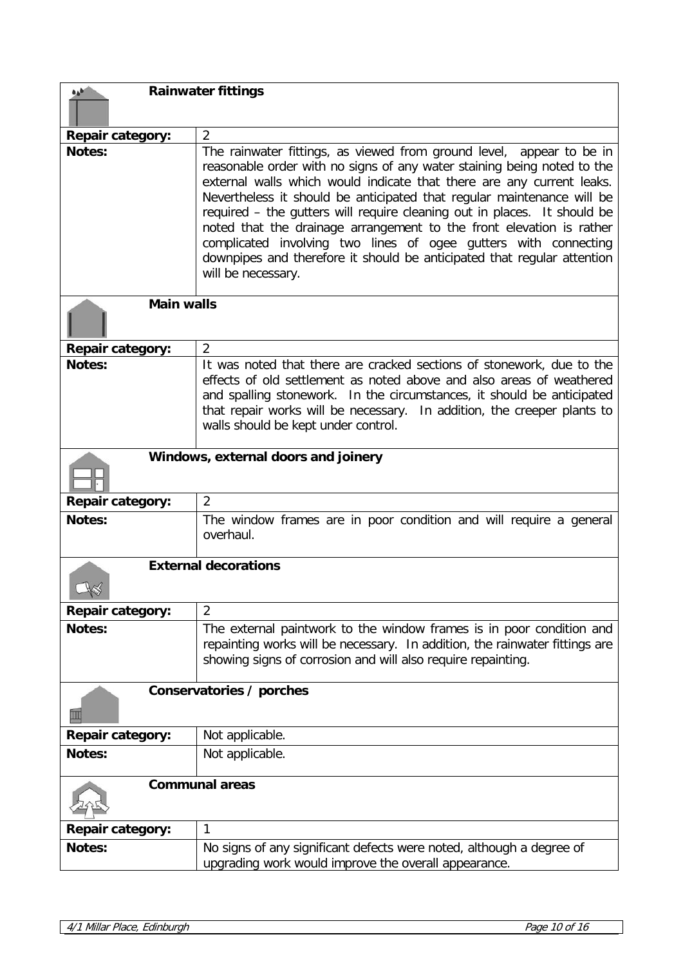| <b>Rainwater fittings</b><br>هره |                                                                                                                                                                                                                                                                                                                                                                                                                                                                                                                                                                                                                            |
|----------------------------------|----------------------------------------------------------------------------------------------------------------------------------------------------------------------------------------------------------------------------------------------------------------------------------------------------------------------------------------------------------------------------------------------------------------------------------------------------------------------------------------------------------------------------------------------------------------------------------------------------------------------------|
|                                  |                                                                                                                                                                                                                                                                                                                                                                                                                                                                                                                                                                                                                            |
| <b>Repair category:</b>          | $\overline{2}$                                                                                                                                                                                                                                                                                                                                                                                                                                                                                                                                                                                                             |
| Notes:                           | The rainwater fittings, as viewed from ground level, appear to be in<br>reasonable order with no signs of any water staining being noted to the<br>external walls which would indicate that there are any current leaks.<br>Nevertheless it should be anticipated that regular maintenance will be<br>required - the gutters will require cleaning out in places. It should be<br>noted that the drainage arrangement to the front elevation is rather<br>complicated involving two lines of ogee gutters with connecting<br>downpipes and therefore it should be anticipated that regular attention<br>will be necessary. |
| <b>Main walls</b>                |                                                                                                                                                                                                                                                                                                                                                                                                                                                                                                                                                                                                                            |
| <b>Repair category:</b>          | $\overline{2}$                                                                                                                                                                                                                                                                                                                                                                                                                                                                                                                                                                                                             |
| Notes:                           | It was noted that there are cracked sections of stonework, due to the<br>effects of old settlement as noted above and also areas of weathered<br>and spalling stonework. In the circumstances, it should be anticipated<br>that repair works will be necessary. In addition, the creeper plants to<br>walls should be kept under control.                                                                                                                                                                                                                                                                                  |
|                                  | Windows, external doors and joinery                                                                                                                                                                                                                                                                                                                                                                                                                                                                                                                                                                                        |
|                                  |                                                                                                                                                                                                                                                                                                                                                                                                                                                                                                                                                                                                                            |
| <b>Repair category:</b>          | $\overline{2}$                                                                                                                                                                                                                                                                                                                                                                                                                                                                                                                                                                                                             |
| <b>Notes:</b>                    | The window frames are in poor condition and will require a general<br>overhaul.                                                                                                                                                                                                                                                                                                                                                                                                                                                                                                                                            |
|                                  | <b>External decorations</b>                                                                                                                                                                                                                                                                                                                                                                                                                                                                                                                                                                                                |
| Repair category:                 | $\overline{2}$                                                                                                                                                                                                                                                                                                                                                                                                                                                                                                                                                                                                             |
| Notes:                           | The external paintwork to the window frames is in poor condition and<br>repainting works will be necessary. In addition, the rainwater fittings are<br>showing signs of corrosion and will also require repainting.                                                                                                                                                                                                                                                                                                                                                                                                        |
|                                  | Conservatories / porches                                                                                                                                                                                                                                                                                                                                                                                                                                                                                                                                                                                                   |
| <b>Repair category:</b>          | Not applicable.                                                                                                                                                                                                                                                                                                                                                                                                                                                                                                                                                                                                            |
| Notes:                           | Not applicable.                                                                                                                                                                                                                                                                                                                                                                                                                                                                                                                                                                                                            |
|                                  | <b>Communal areas</b>                                                                                                                                                                                                                                                                                                                                                                                                                                                                                                                                                                                                      |
| <b>Repair category:</b>          | 1                                                                                                                                                                                                                                                                                                                                                                                                                                                                                                                                                                                                                          |
| Notes:                           | No signs of any significant defects were noted, although a degree of<br>upgrading work would improve the overall appearance.                                                                                                                                                                                                                                                                                                                                                                                                                                                                                               |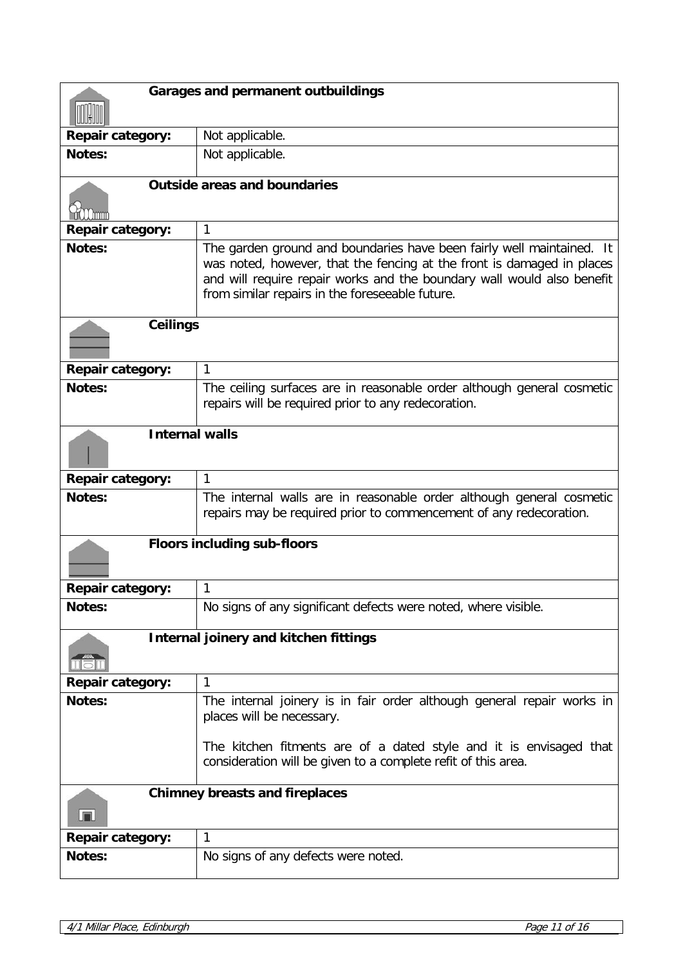| <b>Garages and permanent outbuildings</b> |                                                                                                                                                                                                                                                                              |
|-------------------------------------------|------------------------------------------------------------------------------------------------------------------------------------------------------------------------------------------------------------------------------------------------------------------------------|
|                                           |                                                                                                                                                                                                                                                                              |
| <b>Repair category:</b>                   | Not applicable.                                                                                                                                                                                                                                                              |
| Notes:                                    | Not applicable.                                                                                                                                                                                                                                                              |
|                                           | <b>Outside areas and boundaries</b>                                                                                                                                                                                                                                          |
|                                           |                                                                                                                                                                                                                                                                              |
| Repair category:                          | 1                                                                                                                                                                                                                                                                            |
| <b>Notes:</b>                             | The garden ground and boundaries have been fairly well maintained. It<br>was noted, however, that the fencing at the front is damaged in places<br>and will require repair works and the boundary wall would also benefit<br>from similar repairs in the foreseeable future. |
| <b>Ceilings</b>                           |                                                                                                                                                                                                                                                                              |
| <b>Repair category:</b>                   | 1                                                                                                                                                                                                                                                                            |
| <b>Notes:</b>                             | The ceiling surfaces are in reasonable order although general cosmetic<br>repairs will be required prior to any redecoration.                                                                                                                                                |
| <b>Internal walls</b>                     |                                                                                                                                                                                                                                                                              |
| <b>Repair category:</b>                   | 1                                                                                                                                                                                                                                                                            |
| <b>Notes:</b>                             | The internal walls are in reasonable order although general cosmetic<br>repairs may be required prior to commencement of any redecoration.                                                                                                                                   |
|                                           | <b>Floors including sub-floors</b>                                                                                                                                                                                                                                           |
| <b>Repair category:</b>                   | 1                                                                                                                                                                                                                                                                            |
| Notes:                                    | No signs of any significant defects were noted, where visible.                                                                                                                                                                                                               |
|                                           | <b>Internal joinery and kitchen fittings</b>                                                                                                                                                                                                                                 |
| <b>Repair category:</b>                   | $\mathbf{1}$                                                                                                                                                                                                                                                                 |
| Notes:                                    | The internal joinery is in fair order although general repair works in<br>places will be necessary.                                                                                                                                                                          |
|                                           | The kitchen fitments are of a dated style and it is envisaged that<br>consideration will be given to a complete refit of this area.                                                                                                                                          |
| لیرا                                      | <b>Chimney breasts and fireplaces</b>                                                                                                                                                                                                                                        |
| <b>Repair category:</b>                   | 1                                                                                                                                                                                                                                                                            |
| Notes:                                    | No signs of any defects were noted.                                                                                                                                                                                                                                          |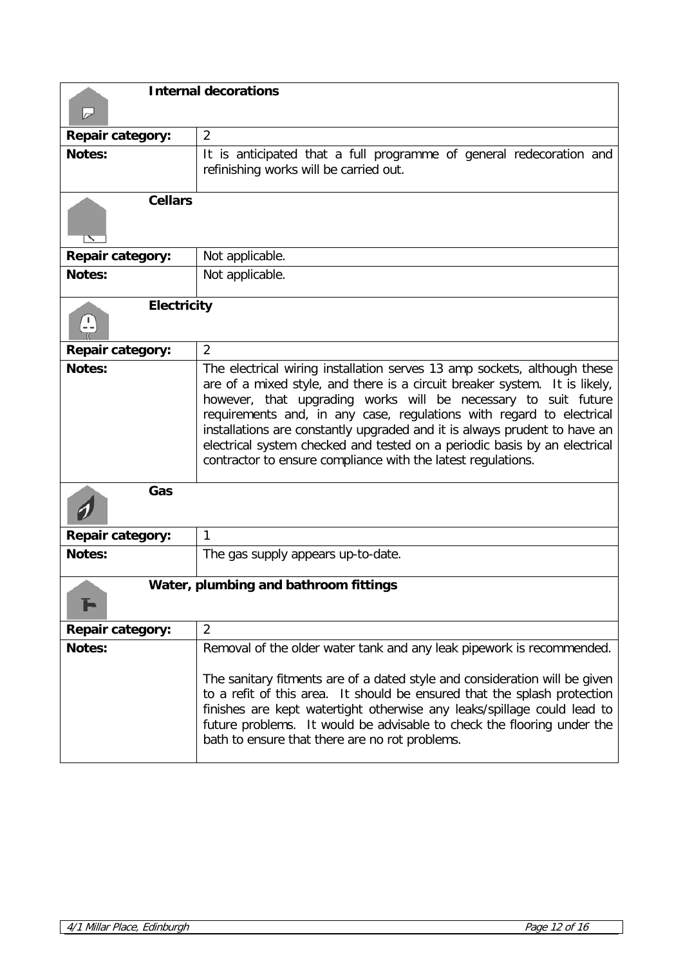| $\rightarrow$           | <b>Internal decorations</b>                                                                                                                                                                                                                                                                                                                                                                                                                                                                                                |
|-------------------------|----------------------------------------------------------------------------------------------------------------------------------------------------------------------------------------------------------------------------------------------------------------------------------------------------------------------------------------------------------------------------------------------------------------------------------------------------------------------------------------------------------------------------|
| <b>Repair category:</b> | $\overline{2}$                                                                                                                                                                                                                                                                                                                                                                                                                                                                                                             |
| <b>Notes:</b>           | It is anticipated that a full programme of general redecoration and<br>refinishing works will be carried out.                                                                                                                                                                                                                                                                                                                                                                                                              |
| <b>Cellars</b><br>٦,    |                                                                                                                                                                                                                                                                                                                                                                                                                                                                                                                            |
| <b>Repair category:</b> | Not applicable.                                                                                                                                                                                                                                                                                                                                                                                                                                                                                                            |
| <b>Notes:</b>           | Not applicable.                                                                                                                                                                                                                                                                                                                                                                                                                                                                                                            |
| <b>Electricity</b>      |                                                                                                                                                                                                                                                                                                                                                                                                                                                                                                                            |
| <b>Repair category:</b> | $\overline{2}$                                                                                                                                                                                                                                                                                                                                                                                                                                                                                                             |
| <b>Notes:</b>           | The electrical wiring installation serves 13 amp sockets, although these<br>are of a mixed style, and there is a circuit breaker system. It is likely,<br>however, that upgrading works will be necessary to suit future<br>requirements and, in any case, regulations with regard to electrical<br>installations are constantly upgraded and it is always prudent to have an<br>electrical system checked and tested on a periodic basis by an electrical<br>contractor to ensure compliance with the latest regulations. |
| Gas                     |                                                                                                                                                                                                                                                                                                                                                                                                                                                                                                                            |
| <b>Repair category:</b> | $\mathbf{1}$                                                                                                                                                                                                                                                                                                                                                                                                                                                                                                               |
| <b>Notes:</b>           | The gas supply appears up-to-date.                                                                                                                                                                                                                                                                                                                                                                                                                                                                                         |
|                         | Water, plumbing and bathroom fittings                                                                                                                                                                                                                                                                                                                                                                                                                                                                                      |
| <b>Repair category:</b> | $\overline{2}$                                                                                                                                                                                                                                                                                                                                                                                                                                                                                                             |
| Notes:                  | Removal of the older water tank and any leak pipework is recommended.                                                                                                                                                                                                                                                                                                                                                                                                                                                      |
|                         | The sanitary fitments are of a dated style and consideration will be given<br>to a refit of this area. It should be ensured that the splash protection<br>finishes are kept watertight otherwise any leaks/spillage could lead to<br>future problems. It would be advisable to check the flooring under the<br>bath to ensure that there are no rot problems.                                                                                                                                                              |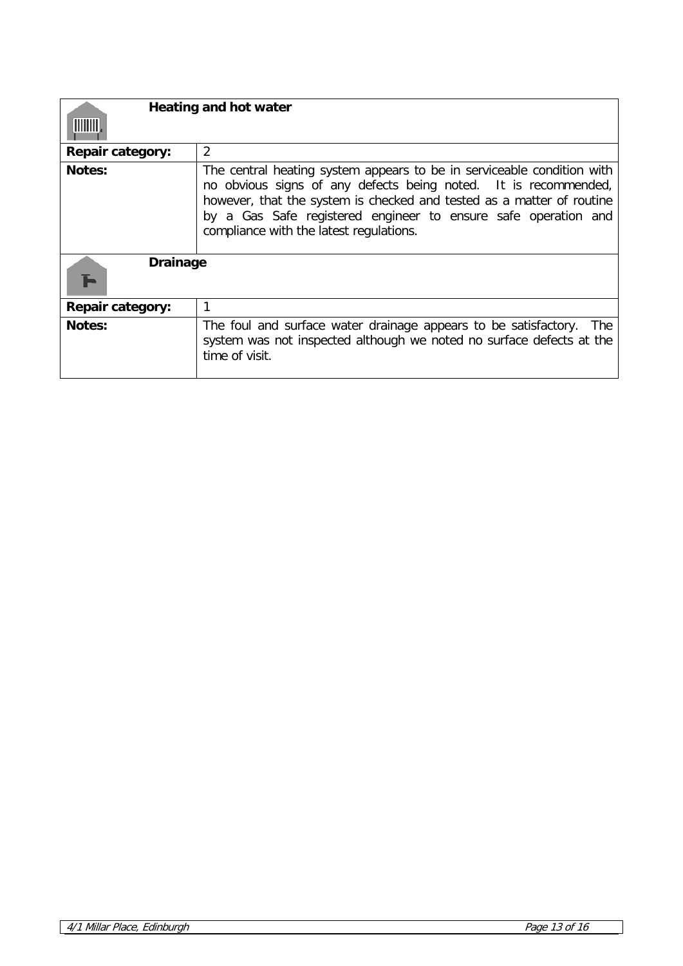| <b>Heating and hot water</b><br><b>MINITI</b> |                                                                                                                                                                                                                                                                                                                                 |  |  |
|-----------------------------------------------|---------------------------------------------------------------------------------------------------------------------------------------------------------------------------------------------------------------------------------------------------------------------------------------------------------------------------------|--|--|
| <b>Repair category:</b>                       | $\overline{2}$                                                                                                                                                                                                                                                                                                                  |  |  |
| <b>Notes:</b>                                 | The central heating system appears to be in serviceable condition with<br>no obvious signs of any defects being noted. It is recommended,<br>however, that the system is checked and tested as a matter of routine<br>by a Gas Safe registered engineer to ensure safe operation and<br>compliance with the latest regulations. |  |  |
| <b>Drainage</b>                               |                                                                                                                                                                                                                                                                                                                                 |  |  |
| <b>Repair category:</b>                       | 1                                                                                                                                                                                                                                                                                                                               |  |  |
| <b>Notes:</b>                                 | The foul and surface water drainage appears to be satisfactory.<br><b>The</b><br>system was not inspected although we noted no surface defects at the<br>time of visit.                                                                                                                                                         |  |  |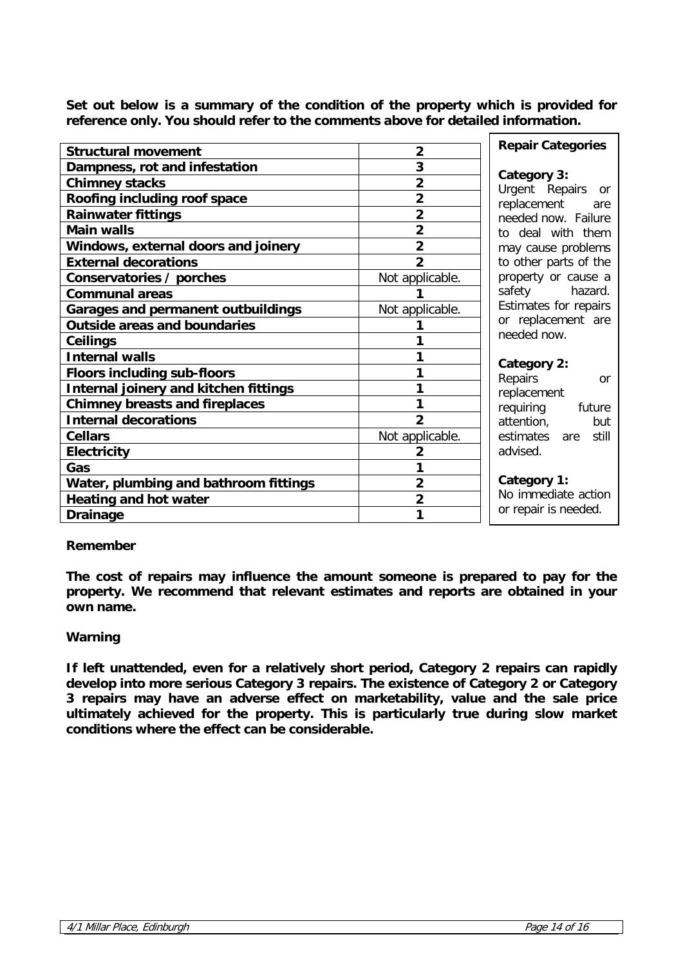**Set out below is a summary of the condition of the property which is provided for reference only. You should refer to the comments above for detailed information.**

| <b>Structural movement</b>                | $\overline{2}$  | <b>Repair Categories</b> |
|-------------------------------------------|-----------------|--------------------------|
| Dampness, rot and infestation             | 3               | Category 3:              |
| <b>Chimney stacks</b>                     | $\overline{2}$  | Urgent Repairs or        |
| Roofing including roof space              | $\overline{2}$  | replacement<br>are       |
| <b>Rainwater fittings</b>                 | $\overline{2}$  | needed now. Failure      |
| <b>Main walls</b>                         | $\overline{2}$  | to deal with them        |
| Windows, external doors and joinery       | $\overline{2}$  | may cause problems       |
| <b>External decorations</b>               | $\overline{2}$  | to other parts of the    |
| Conservatories / porches                  | Not applicable. | property or cause a      |
| <b>Communal areas</b>                     |                 | safety<br>hazard.        |
| <b>Garages and permanent outbuildings</b> | Not applicable. | Estimates for repairs    |
| <b>Outside areas and boundaries</b>       |                 | or replacement are       |
| Ceilings                                  |                 | needed now.              |
| <b>Internal walls</b>                     | 1               | Category 2:              |
| <b>Floors including sub-floors</b>        | 1               | Repairs<br>or            |
| Internal joinery and kitchen fittings     | 1               | replacement              |
| <b>Chimney breasts and fireplaces</b>     | 1               | requiring<br>future      |
| <b>Internal decorations</b>               | $\overline{2}$  | attention,<br>but        |
| <b>Cellars</b>                            | Not applicable. | estimates<br>are still   |
| <b>Electricity</b>                        | $\overline{2}$  | advised.                 |
| Gas                                       | 1               |                          |
| Water, plumbing and bathroom fittings     | $\overline{2}$  | Category 1:              |
| <b>Heating and hot water</b>              | $\overline{2}$  | No immediate action      |
| <b>Drainage</b>                           | 1               | or repair is needed.     |
|                                           |                 |                          |

### **Remember**

**The cost of repairs may influence the amount someone is prepared to pay for the property. We recommend that relevant estimates and reports are obtained in your own name.**

#### **Warning**

**If left unattended, even for a relatively short period, Category 2 repairs can rapidly develop into more serious Category 3 repairs. The existence of Category 2 or Category 3 repairs may have an adverse effect on marketability, value and the sale price ultimately achieved for the property. This is particularly true during slow market conditions where the effect can be considerable.**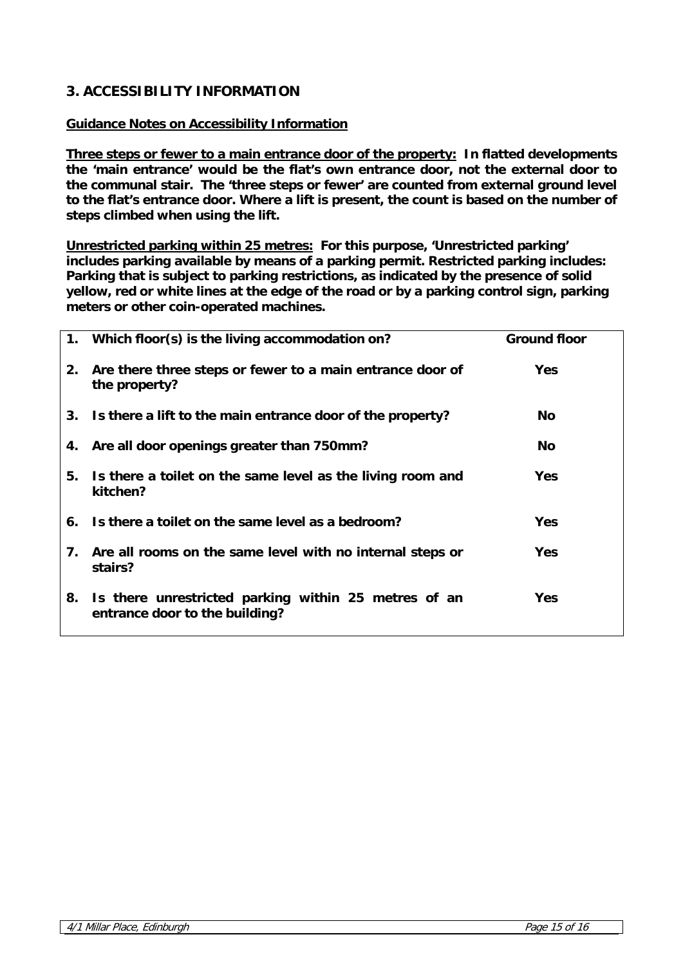# **3. ACCESSIBILITY INFORMATION**

## **Guidance Notes on Accessibility Information**

**Three steps or fewer to a main entrance door of the property: In flatted developments the 'main entrance' would be the flat's own entrance door, not the external door to the communal stair. The 'three steps or fewer' are counted from external ground level to the flat's entrance door. Where a lift is present, the count is based on the number of steps climbed when using the lift.** 

**Unrestricted parking within 25 metres: For this purpose, 'Unrestricted parking' includes parking available by means of a parking permit. Restricted parking includes: Parking that is subject to parking restrictions, as indicated by the presence of solid yellow, red or white lines at the edge of the road or by a parking control sign, parking meters or other coin-operated machines.**

|    | 1. Which floor(s) is the living accommodation on?                                      | <b>Ground floor</b> |
|----|----------------------------------------------------------------------------------------|---------------------|
| 2. | Are there three steps or fewer to a main entrance door of<br>the property?             | <b>Yes</b>          |
|    | 3. Is there a lift to the main entrance door of the property?                          | No.                 |
|    | 4. Are all door openings greater than 750mm?                                           | <b>No</b>           |
| 5. | Is there a toilet on the same level as the living room and<br>kitchen?                 | <b>Yes</b>          |
|    | 6. Is there a toilet on the same level as a bedroom?                                   | <b>Yes</b>          |
| 7. | Are all rooms on the same level with no internal steps or<br>stairs?                   | <b>Yes</b>          |
| 8. | Is there unrestricted parking within 25 metres of an<br>entrance door to the building? | <b>Yes</b>          |